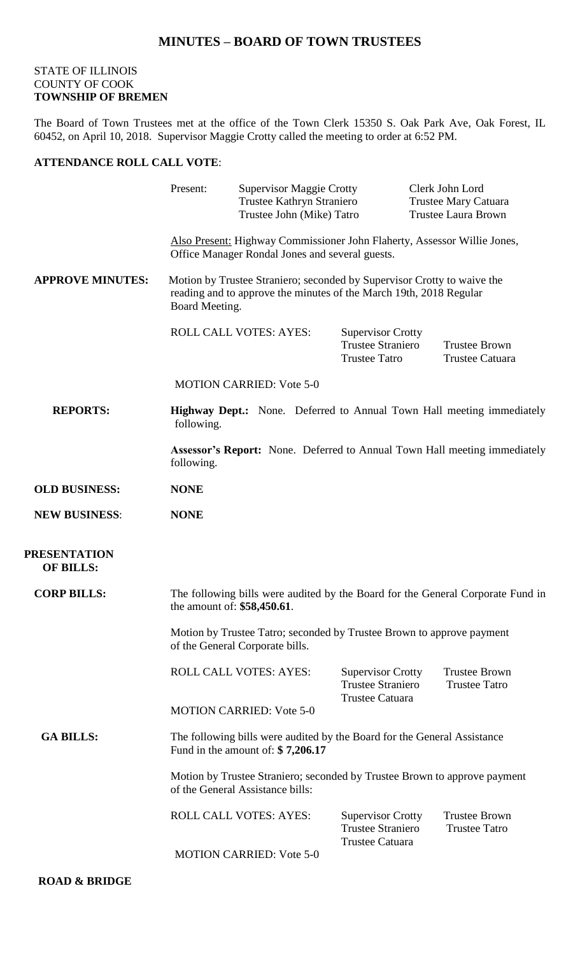## **MINUTES – BOARD OF TOWN TRUSTEES**

## STATE OF ILLINOIS COUNTY OF COOK **TOWNSHIP OF BREMEN**

The Board of Town Trustees met at the office of the Town Clerk 15350 S. Oak Park Ave, Oak Forest, IL 60452, on April 10, 2018. Supervisor Maggie Crotty called the meeting to order at 6:52 PM.

## **ATTENDANCE ROLL CALL VOTE**:

|                                         | Present:                                                                                                                                                        | <b>Supervisor Maggie Crotty</b><br>Trustee Kathryn Straniero<br>Trustee John (Mike) Tatro |                                                                                | Clerk John Lord<br><b>Trustee Mary Catuara</b><br><b>Trustee Laura Brown</b> |
|-----------------------------------------|-----------------------------------------------------------------------------------------------------------------------------------------------------------------|-------------------------------------------------------------------------------------------|--------------------------------------------------------------------------------|------------------------------------------------------------------------------|
|                                         | Also Present: Highway Commissioner John Flaherty, Assessor Willie Jones,<br>Office Manager Rondal Jones and several guests.                                     |                                                                                           |                                                                                |                                                                              |
| <b>APPROVE MINUTES:</b>                 | Motion by Trustee Straniero; seconded by Supervisor Crotty to waive the<br>reading and to approve the minutes of the March 19th, 2018 Regular<br>Board Meeting. |                                                                                           |                                                                                |                                                                              |
|                                         |                                                                                                                                                                 | <b>ROLL CALL VOTES: AYES:</b>                                                             | <b>Supervisor Crotty</b><br><b>Trustee Straniero</b><br><b>Trustee Tatro</b>   | <b>Trustee Brown</b><br>Trustee Catuara                                      |
|                                         | <b>MOTION CARRIED: Vote 5-0</b>                                                                                                                                 |                                                                                           |                                                                                |                                                                              |
| <b>REPORTS:</b>                         | <b>Highway Dept.:</b> None. Deferred to Annual Town Hall meeting immediately<br>following.                                                                      |                                                                                           |                                                                                |                                                                              |
|                                         | Assessor's Report: None. Deferred to Annual Town Hall meeting immediately<br>following.                                                                         |                                                                                           |                                                                                |                                                                              |
| <b>OLD BUSINESS:</b>                    | <b>NONE</b>                                                                                                                                                     |                                                                                           |                                                                                |                                                                              |
| <b>NEW BUSINESS:</b>                    | <b>NONE</b>                                                                                                                                                     |                                                                                           |                                                                                |                                                                              |
| <b>PRESENTATION</b><br><b>OF BILLS:</b> |                                                                                                                                                                 |                                                                                           |                                                                                |                                                                              |
| <b>CORP BILLS:</b>                      | The following bills were audited by the Board for the General Corporate Fund in<br>the amount of: \$58,450.61.                                                  |                                                                                           |                                                                                |                                                                              |
|                                         | Motion by Trustee Tatro; seconded by Trustee Brown to approve payment<br>of the General Corporate bills.                                                        |                                                                                           |                                                                                |                                                                              |
|                                         |                                                                                                                                                                 | <b>ROLL CALL VOTES: AYES:</b>                                                             | <b>Supervisor Crotty</b><br><b>Trustee Straniero</b><br><b>Trustee Catuara</b> | <b>Trustee Brown</b><br><b>Trustee Tatro</b>                                 |
|                                         | <b>MOTION CARRIED: Vote 5-0</b>                                                                                                                                 |                                                                                           |                                                                                |                                                                              |
| <b>GA BILLS:</b>                        | The following bills were audited by the Board for the General Assistance<br>Fund in the amount of: $$7,206.17$                                                  |                                                                                           |                                                                                |                                                                              |
|                                         | Motion by Trustee Straniero; seconded by Trustee Brown to approve payment<br>of the General Assistance bills:                                                   |                                                                                           |                                                                                |                                                                              |
|                                         |                                                                                                                                                                 | <b>ROLL CALL VOTES: AYES:</b>                                                             | <b>Supervisor Crotty</b><br><b>Trustee Straniero</b>                           | <b>Trustee Brown</b><br><b>Trustee Tatro</b>                                 |
|                                         |                                                                                                                                                                 | <b>MOTION CARRIED: Vote 5-0</b>                                                           | <b>Trustee Catuara</b>                                                         |                                                                              |
| <b>ROAD &amp; BRIDGE</b>                |                                                                                                                                                                 |                                                                                           |                                                                                |                                                                              |